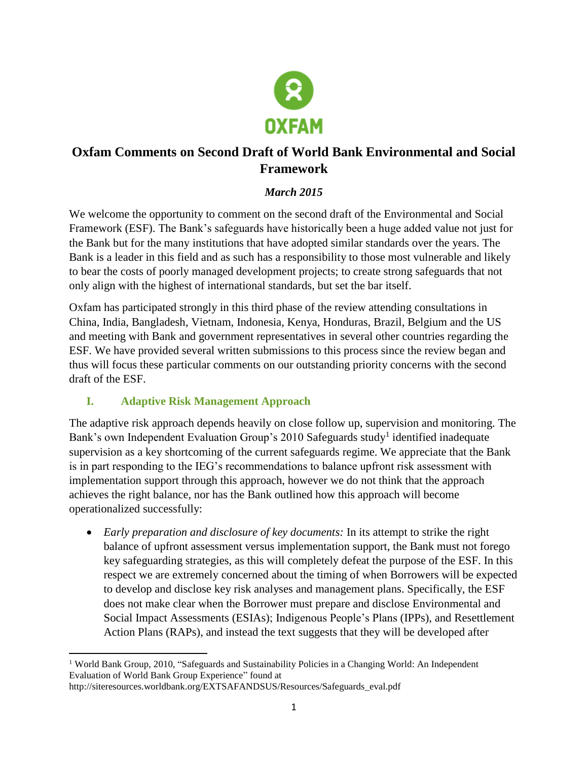

# **Oxfam Comments on Second Draft of World Bank Environmental and Social Framework**

### *March 2015*

We welcome the opportunity to comment on the second draft of the Environmental and Social Framework (ESF). The Bank's safeguards have historically been a huge added value not just for the Bank but for the many institutions that have adopted similar standards over the years. The Bank is a leader in this field and as such has a responsibility to those most vulnerable and likely to bear the costs of poorly managed development projects; to create strong safeguards that not only align with the highest of international standards, but set the bar itself.

Oxfam has participated strongly in this third phase of the review attending consultations in China, India, Bangladesh, Vietnam, Indonesia, Kenya, Honduras, Brazil, Belgium and the US and meeting with Bank and government representatives in several other countries regarding the ESF. We have provided several written submissions to this process since the review began and thus will focus these particular comments on our outstanding priority concerns with the second draft of the ESF.

### **I. Adaptive Risk Management Approach**

The adaptive risk approach depends heavily on close follow up, supervision and monitoring. The Bank's own Independent Evaluation Group's 2010 Safeguards study<sup>1</sup> identified inadequate supervision as a key shortcoming of the current safeguards regime. We appreciate that the Bank is in part responding to the IEG's recommendations to balance upfront risk assessment with implementation support through this approach, however we do not think that the approach achieves the right balance, nor has the Bank outlined how this approach will become operationalized successfully:

 *Early preparation and disclosure of key documents:* In its attempt to strike the right balance of upfront assessment versus implementation support, the Bank must not forego key safeguarding strategies, as this will completely defeat the purpose of the ESF. In this respect we are extremely concerned about the timing of when Borrowers will be expected to develop and disclose key risk analyses and management plans. Specifically, the ESF does not make clear when the Borrower must prepare and disclose Environmental and Social Impact Assessments (ESIAs); Indigenous People's Plans (IPPs), and Resettlement Action Plans (RAPs), and instead the text suggests that they will be developed after

 $\overline{\phantom{a}}$ <sup>1</sup> World Bank Group, 2010, "Safeguards and Sustainability Policies in a Changing World: An Independent Evaluation of World Bank Group Experience" found at

http://siteresources.worldbank.org/EXTSAFANDSUS/Resources/Safeguards\_eval.pdf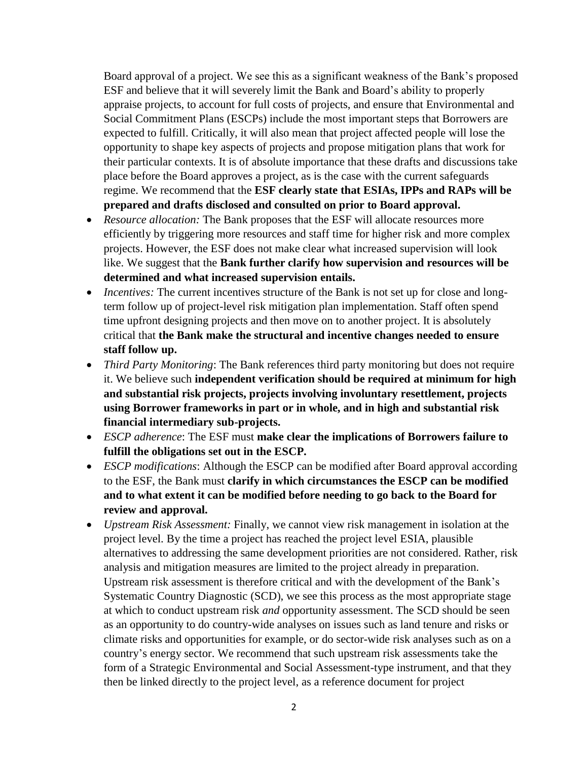Board approval of a project. We see this as a significant weakness of the Bank's proposed ESF and believe that it will severely limit the Bank and Board's ability to properly appraise projects, to account for full costs of projects, and ensure that Environmental and Social Commitment Plans (ESCPs) include the most important steps that Borrowers are expected to fulfill. Critically, it will also mean that project affected people will lose the opportunity to shape key aspects of projects and propose mitigation plans that work for their particular contexts. It is of absolute importance that these drafts and discussions take place before the Board approves a project, as is the case with the current safeguards regime. We recommend that the **ESF clearly state that ESIAs, IPPs and RAPs will be prepared and drafts disclosed and consulted on prior to Board approval.**

- *Resource allocation:* The Bank proposes that the ESF will allocate resources more efficiently by triggering more resources and staff time for higher risk and more complex projects. However, the ESF does not make clear what increased supervision will look like. We suggest that the **Bank further clarify how supervision and resources will be determined and what increased supervision entails.**
- *Incentives:* The current incentives structure of the Bank is not set up for close and longterm follow up of project-level risk mitigation plan implementation. Staff often spend time upfront designing projects and then move on to another project. It is absolutely critical that **the Bank make the structural and incentive changes needed to ensure staff follow up.**
- *Third Party Monitoring*: The Bank references third party monitoring but does not require it. We believe such **independent verification should be required at minimum for high and substantial risk projects, projects involving involuntary resettlement, projects using Borrower frameworks in part or in whole, and in high and substantial risk financial intermediary sub-projects.**
- *ESCP adherence*: The ESF must **make clear the implications of Borrowers failure to fulfill the obligations set out in the ESCP.**
- *ESCP modifications*: Although the ESCP can be modified after Board approval according to the ESF, the Bank must **clarify in which circumstances the ESCP can be modified and to what extent it can be modified before needing to go back to the Board for review and approval.**
- *Upstream Risk Assessment:* Finally, we cannot view risk management in isolation at the project level. By the time a project has reached the project level ESIA, plausible alternatives to addressing the same development priorities are not considered. Rather, risk analysis and mitigation measures are limited to the project already in preparation. Upstream risk assessment is therefore critical and with the development of the Bank's Systematic Country Diagnostic (SCD), we see this process as the most appropriate stage at which to conduct upstream risk *and* opportunity assessment. The SCD should be seen as an opportunity to do country-wide analyses on issues such as land tenure and risks or climate risks and opportunities for example, or do sector-wide risk analyses such as on a country's energy sector. We recommend that such upstream risk assessments take the form of a Strategic Environmental and Social Assessment-type instrument, and that they then be linked directly to the project level, as a reference document for project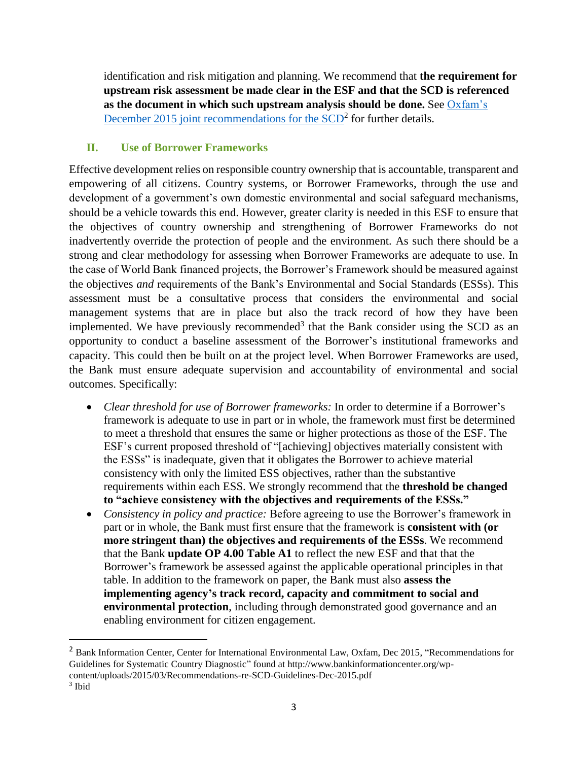identification and risk mitigation and planning. We recommend that **the requirement for upstream risk assessment be made clear in the ESF and that the SCD is referenced as the document in which such upstream analysis should be done.** See [Oxfam's](http://www.bankinformationcenter.org/wp-content/uploads/2015/03/Recommendations-re-SCD-Guidelines-Dec-2015.pdf)  December 2015 joint recommendations for the  $SCD<sup>2</sup>$  for further details.

#### **II. Use of Borrower Frameworks**

 $\overline{\phantom{a}}$ 

Effective development relies on responsible country ownership that is accountable, transparent and empowering of all citizens. Country systems, or Borrower Frameworks, through the use and development of a government's own domestic environmental and social safeguard mechanisms, should be a vehicle towards this end. However, greater clarity is needed in this ESF to ensure that the objectives of country ownership and strengthening of Borrower Frameworks do not inadvertently override the protection of people and the environment. As such there should be a strong and clear methodology for assessing when Borrower Frameworks are adequate to use. In the case of World Bank financed projects, the Borrower's Framework should be measured against the objectives *and* requirements of the Bank's Environmental and Social Standards (ESSs). This assessment must be a consultative process that considers the environmental and social management systems that are in place but also the track record of how they have been implemented. We have previously recommended<sup>3</sup> that the Bank consider using the SCD as an opportunity to conduct a baseline assessment of the Borrower's institutional frameworks and capacity. This could then be built on at the project level. When Borrower Frameworks are used, the Bank must ensure adequate supervision and accountability of environmental and social outcomes. Specifically:

- *Clear threshold for use of Borrower frameworks:* In order to determine if a Borrower's framework is adequate to use in part or in whole, the framework must first be determined to meet a threshold that ensures the same or higher protections as those of the ESF. The ESF's current proposed threshold of "[achieving] objectives materially consistent with the ESSs" is inadequate, given that it obligates the Borrower to achieve material consistency with only the limited ESS objectives, rather than the substantive requirements within each ESS. We strongly recommend that the **threshold be changed to "achieve consistency with the objectives and requirements of the ESSs."**
- *Consistency in policy and practice:* Before agreeing to use the Borrower's framework in part or in whole, the Bank must first ensure that the framework is **consistent with (or more stringent than) the objectives and requirements of the ESSs**. We recommend that the Bank **update OP 4.00 Table A1** to reflect the new ESF and that that the Borrower's framework be assessed against the applicable operational principles in that table. In addition to the framework on paper, the Bank must also **assess the implementing agency's track record, capacity and commitment to social and environmental protection**, including through demonstrated good governance and an enabling environment for citizen engagement.

<sup>&</sup>lt;sup>2</sup> Bank Information Center, Center for International Environmental Law, Oxfam, Dec 2015, "Recommendations for Guidelines for Systematic Country Diagnostic" found at http://www.bankinformationcenter.org/wpcontent/uploads/2015/03/Recommendations-re-SCD-Guidelines-Dec-2015.pdf 3 Ibid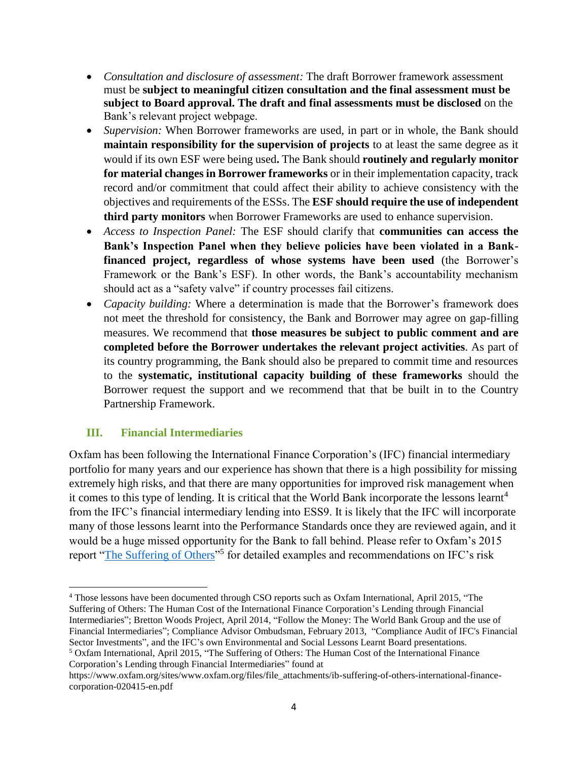- *Consultation and disclosure of assessment:* The draft Borrower framework assessment must be **subject to meaningful citizen consultation and the final assessment must be subject to Board approval. The draft and final assessments must be disclosed** on the Bank's relevant project webpage.
- *Supervision:* When Borrower frameworks are used, in part or in whole, the Bank should **maintain responsibility for the supervision of projects** to at least the same degree as it would if its own ESF were being used**.** The Bank should **routinely and regularly monitor for material changes in Borrower frameworks** or in their implementation capacity, track record and/or commitment that could affect their ability to achieve consistency with the objectives and requirements of the ESSs. The **ESF should require the use of independent third party monitors** when Borrower Frameworks are used to enhance supervision.
- *Access to Inspection Panel:* The ESF should clarify that **communities can access the Bank's Inspection Panel when they believe policies have been violated in a Bankfinanced project, regardless of whose systems have been used** (the Borrower's Framework or the Bank's ESF). In other words, the Bank's accountability mechanism should act as a "safety valve" if country processes fail citizens.
- *Capacity building:* Where a determination is made that the Borrower's framework does not meet the threshold for consistency, the Bank and Borrower may agree on gap-filling measures. We recommend that **those measures be subject to public comment and are completed before the Borrower undertakes the relevant project activities**. As part of its country programming, the Bank should also be prepared to commit time and resources to the **systematic, institutional capacity building of these frameworks** should the Borrower request the support and we recommend that that be built in to the Country Partnership Framework.

#### **III. Financial Intermediaries**

Oxfam has been following the International Finance Corporation's (IFC) financial intermediary portfolio for many years and our experience has shown that there is a high possibility for missing extremely high risks, and that there are many opportunities for improved risk management when it comes to this type of lending. It is critical that the World Bank incorporate the lessons learnt<sup>4</sup> from the IFC's financial intermediary lending into ESS9. It is likely that the IFC will incorporate many of those lessons learnt into the Performance Standards once they are reviewed again, and it would be a huge missed opportunity for the Bank to fall behind. Please refer to Oxfam's 2015 report ["The Suffering of Others"](https://www.oxfam.org/sites/www.oxfam.org/files/file_attachments/ib-suffering-of-others-international-finance-corporation-020415-en.pdf)<sup>5</sup> for detailed examples and recommendations on IFC's risk

Corporation's Lending through Financial Intermediaries" found at

 $\overline{\phantom{a}}$ <sup>4</sup> Those lessons have been documented through CSO reports such as Oxfam International, April 2015, "The Suffering of Others: The Human Cost of the International Finance Corporation's Lending through Financial Intermediaries"; Bretton Woods Project, April 2014, "Follow the Money: The World Bank Group and the use of Financial Intermediaries"; Compliance Advisor Ombudsman, February 2013, "Compliance Audit of IFC's Financial Sector Investments", and the IFC's own Environmental and Social Lessons Learnt Board presentations. <sup>5</sup> Oxfam International, April 2015, "The Suffering of Others: The Human Cost of the International Finance

https://www.oxfam.org/sites/www.oxfam.org/files/file\_attachments/ib-suffering-of-others-international-financecorporation-020415-en.pdf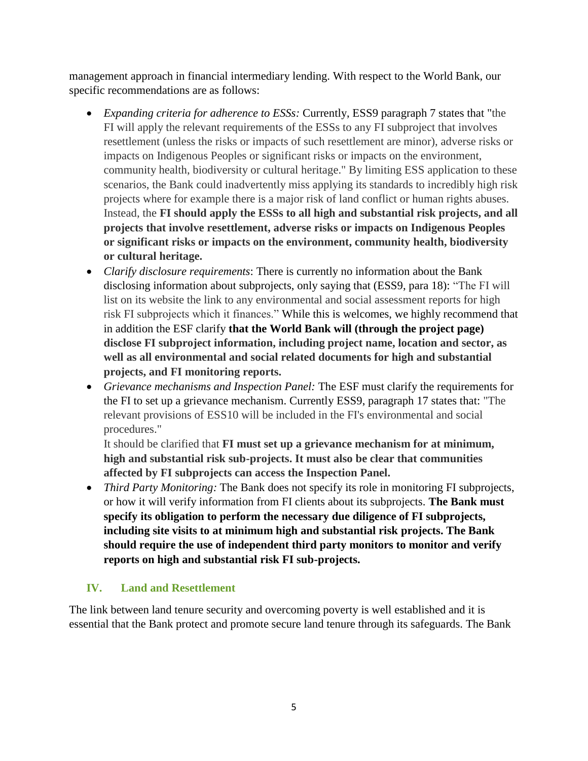management approach in financial intermediary lending. With respect to the World Bank, our specific recommendations are as follows:

- *Expanding criteria for adherence to ESSs:* Currently, ESS9 paragraph 7 states that "the FI will apply the relevant requirements of the ESSs to any FI subproject that involves resettlement (unless the risks or impacts of such resettlement are minor), adverse risks or impacts on Indigenous Peoples or significant risks or impacts on the environment, community health, biodiversity or cultural heritage." By limiting ESS application to these scenarios, the Bank could inadvertently miss applying its standards to incredibly high risk projects where for example there is a major risk of land conflict or human rights abuses. Instead, the **FI should apply the ESSs to all high and substantial risk projects, and all projects that involve resettlement, adverse risks or impacts on Indigenous Peoples or significant risks or impacts on the environment, community health, biodiversity or cultural heritage.**
- *Clarify disclosure requirements*: There is currently no information about the Bank disclosing information about subprojects, only saying that (ESS9, para 18): "The FI will list on its website the link to any environmental and social assessment reports for high risk FI subprojects which it finances." While this is welcomes, we highly recommend that in addition the ESF clarify **that the World Bank will (through the project page) disclose FI subproject information, including project name, location and sector, as well as all environmental and social related documents for high and substantial projects, and FI monitoring reports.**
- *Grievance mechanisms and Inspection Panel:* The ESF must clarify the requirements for the FI to set up a grievance mechanism. Currently ESS9, paragraph 17 states that: "The relevant provisions of ESS10 will be included in the FI's environmental and social procedures."

It should be clarified that **FI must set up a grievance mechanism for at minimum, high and substantial risk sub-projects. It must also be clear that communities affected by FI subprojects can access the Inspection Panel.**

 *Third Party Monitoring:* The Bank does not specify its role in monitoring FI subprojects, or how it will verify information from FI clients about its subprojects. **The Bank must specify its obligation to perform the necessary due diligence of FI subprojects, including site visits to at minimum high and substantial risk projects. The Bank should require the use of independent third party monitors to monitor and verify reports on high and substantial risk FI sub-projects.**

#### **IV. Land and Resettlement**

The link between land tenure security and overcoming poverty is well established and it is essential that the Bank protect and promote secure land tenure through its safeguards. The Bank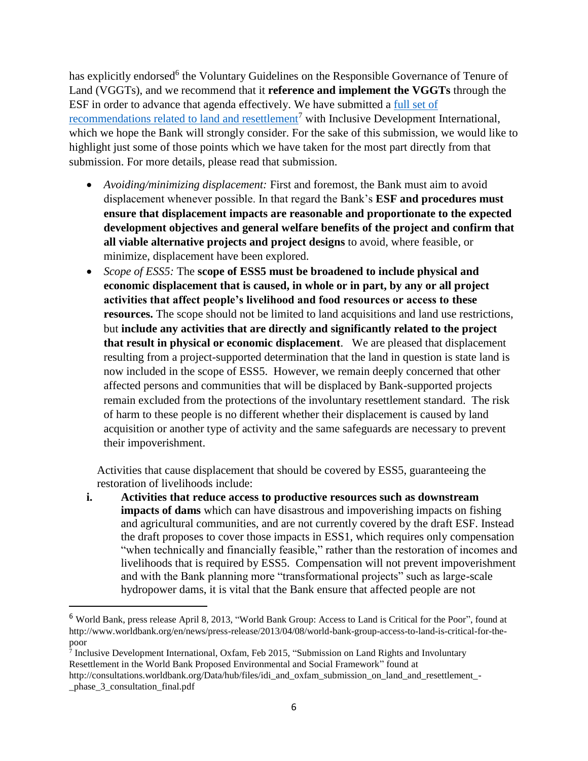has explicitly endorsed<sup>6</sup> the Voluntary Guidelines on the Responsible Governance of Tenure of Land (VGGTs), and we recommend that it **reference and implement the VGGTs** through the ESF in order to advance that agenda effectively. We have submitted a [full set of](http://consultations.worldbank.org/Data/hub/files/idi_and_oxfam_submission_on_land_and_resettlement_-_phase_3_consultation_final.pdf)  [recommendations related to land and resettlement](http://consultations.worldbank.org/Data/hub/files/idi_and_oxfam_submission_on_land_and_resettlement_-_phase_3_consultation_final.pdf)<sup>7</sup> with Inclusive Development International, which we hope the Bank will strongly consider. For the sake of this submission, we would like to highlight just some of those points which we have taken for the most part directly from that submission. For more details, please read that submission.

- *Avoiding/minimizing displacement:* First and foremost, the Bank must aim to avoid displacement whenever possible. In that regard the Bank's **ESF and procedures must ensure that displacement impacts are reasonable and proportionate to the expected development objectives and general welfare benefits of the project and confirm that all viable alternative projects and project designs** to avoid, where feasible, or minimize, displacement have been explored.
- *Scope of ESS5:* The **scope of ESS5 must be broadened to include physical and economic displacement that is caused, in whole or in part, by any or all project activities that affect people's livelihood and food resources or access to these resources.** The scope should not be limited to land acquisitions and land use restrictions, but **include any activities that are directly and significantly related to the project that result in physical or economic displacement**.We are pleased that displacement resulting from a project-supported determination that the land in question is state land is now included in the scope of ESS5. However, we remain deeply concerned that other affected persons and communities that will be displaced by Bank-supported projects remain excluded from the protections of the involuntary resettlement standard. The risk of harm to these people is no different whether their displacement is caused by land acquisition or another type of activity and the same safeguards are necessary to prevent their impoverishment.

Activities that cause displacement that should be covered by ESS5, guaranteeing the restoration of livelihoods include:

**i. Activities that reduce access to productive resources such as downstream impacts of dams** which can have disastrous and impoverishing impacts on fishing and agricultural communities, and are not currently covered by the draft ESF. Instead the draft proposes to cover those impacts in ESS1, which requires only compensation "when technically and financially feasible," rather than the restoration of incomes and livelihoods that is required by ESS5. Compensation will not prevent impoverishment and with the Bank planning more "transformational projects" such as large-scale hydropower dams, it is vital that the Bank ensure that affected people are not

<sup>7</sup> Inclusive Development International, Oxfam, Feb 2015, "Submission on Land Rights and Involuntary Resettlement in the World Bank Proposed Environmental and Social Framework" found at

l

<sup>6</sup> World Bank, press release April 8, 2013, "World Bank Group: Access to Land is Critical for the Poor", found at http://www.worldbank.org/en/news/press-release/2013/04/08/world-bank-group-access-to-land-is-critical-for-thepoor

http://consultations.worldbank.org/Data/hub/files/idi\_and\_oxfam\_submission\_on\_land\_and\_resettlement\_-\_phase\_3\_consultation\_final.pdf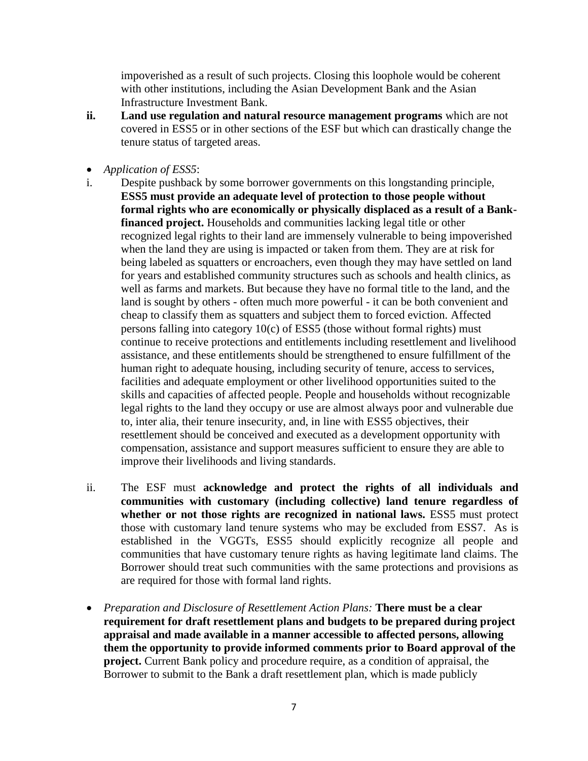impoverished as a result of such projects. Closing this loophole would be coherent with other institutions, including the Asian Development Bank and the Asian Infrastructure Investment Bank.

- **ii. Land use regulation and natural resource management programs** which are not covered in ESS5 or in other sections of the ESF but which can drastically change the tenure status of targeted areas.
- *Application of ESS5*:
- i. Despite pushback by some borrower governments on this longstanding principle, **ESS5 must provide an adequate level of protection to those people without formal rights who are economically or physically displaced as a result of a Bankfinanced project.** Households and communities lacking legal title or other recognized legal rights to their land are immensely vulnerable to being impoverished when the land they are using is impacted or taken from them. They are at risk for being labeled as squatters or encroachers, even though they may have settled on land for years and established community structures such as schools and health clinics, as well as farms and markets. But because they have no formal title to the land, and the land is sought by others - often much more powerful - it can be both convenient and cheap to classify them as squatters and subject them to forced eviction. Affected persons falling into category 10(c) of ESS5 (those without formal rights) must continue to receive protections and entitlements including resettlement and livelihood assistance, and these entitlements should be strengthened to ensure fulfillment of the human right to adequate housing, including security of tenure, access to services, facilities and adequate employment or other livelihood opportunities suited to the skills and capacities of affected people. People and households without recognizable legal rights to the land they occupy or use are almost always poor and vulnerable due to, inter alia, their tenure insecurity, and, in line with ESS5 objectives, their resettlement should be conceived and executed as a development opportunity with compensation, assistance and support measures sufficient to ensure they are able to improve their livelihoods and living standards.
- ii.The ESF must **acknowledge and protect the rights of all individuals and communities with customary (including collective) land tenure regardless of**  whether or not those rights are recognized in national laws. ESS5 must protect those with customary land tenure systems who may be excluded from ESS7. As is established in the VGGTs, ESS5 should explicitly recognize all people and communities that have customary tenure rights as having legitimate land claims. The Borrower should treat such communities with the same protections and provisions as are required for those with formal land rights.
- *Preparation and Disclosure of Resettlement Action Plans:* **There must be a clear requirement for draft resettlement plans and budgets to be prepared during project appraisal and made available in a manner accessible to affected persons, allowing them the opportunity to provide informed comments prior to Board approval of the project.** Current Bank policy and procedure require, as a condition of appraisal, the Borrower to submit to the Bank a draft resettlement plan, which is made publicly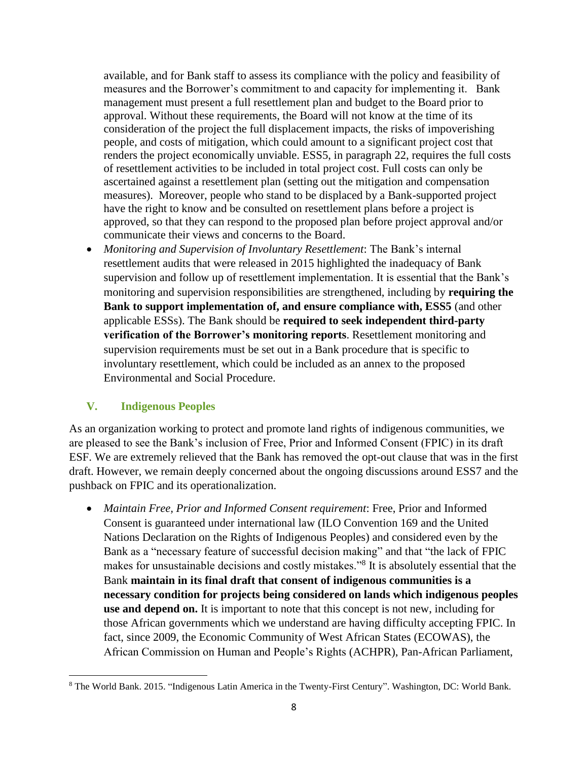available, and for Bank staff to assess its compliance with the policy and feasibility of measures and the Borrower's commitment to and capacity for implementing it. Bank management must present a full resettlement plan and budget to the Board prior to approval. Without these requirements, the Board will not know at the time of its consideration of the project the full displacement impacts, the risks of impoverishing people, and costs of mitigation, which could amount to a significant project cost that renders the project economically unviable. ESS5, in paragraph 22, requires the full costs of resettlement activities to be included in total project cost. Full costs can only be ascertained against a resettlement plan (setting out the mitigation and compensation measures). Moreover, people who stand to be displaced by a Bank-supported project have the right to know and be consulted on resettlement plans before a project is approved, so that they can respond to the proposed plan before project approval and/or communicate their views and concerns to the Board.

 *Monitoring and Supervision of Involuntary Resettlement*: The Bank's internal resettlement audits that were released in 2015 highlighted the inadequacy of Bank supervision and follow up of resettlement implementation. It is essential that the Bank's monitoring and supervision responsibilities are strengthened, including by **requiring the Bank to support implementation of, and ensure compliance with, ESS5** (and other applicable ESSs). The Bank should be **required to seek independent third-party verification of the Borrower's monitoring reports**. Resettlement monitoring and supervision requirements must be set out in a Bank procedure that is specific to involuntary resettlement, which could be included as an annex to the proposed Environmental and Social Procedure.

#### **V. Indigenous Peoples**

 $\overline{\phantom{a}}$ 

As an organization working to protect and promote land rights of indigenous communities, we are pleased to see the Bank's inclusion of Free, Prior and Informed Consent (FPIC) in its draft ESF. We are extremely relieved that the Bank has removed the opt-out clause that was in the first draft. However, we remain deeply concerned about the ongoing discussions around ESS7 and the pushback on FPIC and its operationalization.

 *Maintain Free, Prior and Informed Consent requirement*: Free, Prior and Informed Consent is guaranteed under international law (ILO Convention 169 and the United Nations Declaration on the Rights of Indigenous Peoples) and considered even by the Bank as a "necessary feature of successful decision making" and that "the lack of FPIC makes for unsustainable decisions and costly mistakes."<sup>8</sup> It is absolutely essential that the Bank **maintain in its final draft that consent of indigenous communities is a necessary condition for projects being considered on lands which indigenous peoples use and depend on.** It is important to note that this concept is not new, including for those African governments which we understand are having difficulty accepting FPIC. In fact, since 2009, the Economic Community of West African States (ECOWAS), the African Commission on Human and People's Rights (ACHPR), Pan-African Parliament,

<sup>8</sup> The World Bank. 2015. "Indigenous Latin America in the Twenty-First Century". Washington, DC: World Bank.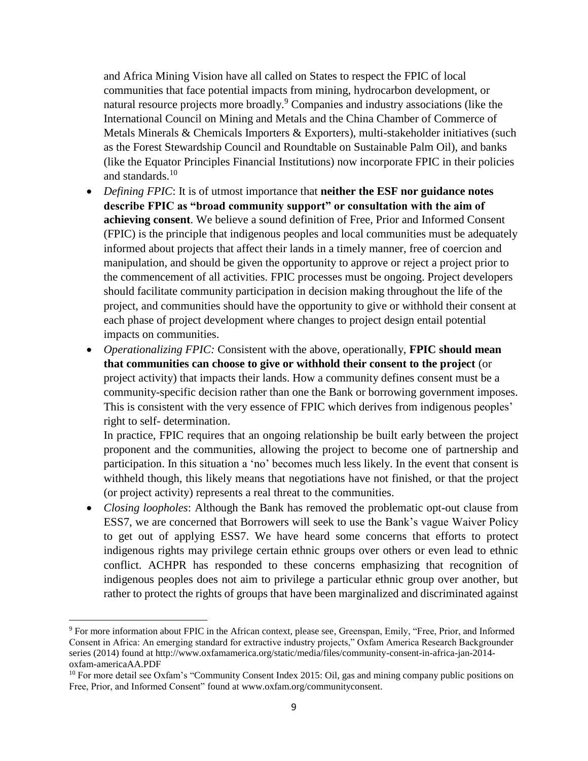and Africa Mining Vision have all called on States to respect the FPIC of local communities that face potential impacts from mining, hydrocarbon development, or natural resource projects more broadly.<sup>9</sup> Companies and industry associations (like the International Council on Mining and Metals and the China Chamber of Commerce of Metals Minerals & Chemicals Importers & Exporters), multi-stakeholder initiatives (such as the Forest Stewardship Council and Roundtable on Sustainable Palm Oil), and banks (like the Equator Principles Financial Institutions) now incorporate FPIC in their policies and standards.<sup>10</sup>

- *Defining FPIC*: It is of utmost importance that **neither the ESF nor guidance notes describe FPIC as "broad community support" or consultation with the aim of achieving consent**. We believe a sound definition of Free, Prior and Informed Consent (FPIC) is the principle that indigenous peoples and local communities must be adequately informed about projects that affect their lands in a timely manner, free of coercion and manipulation, and should be given the opportunity to approve or reject a project prior to the commencement of all activities. FPIC processes must be ongoing. Project developers should facilitate community participation in decision making throughout the life of the project, and communities should have the opportunity to give or withhold their consent at each phase of project development where changes to project design entail potential impacts on communities.
- *Operationalizing FPIC:* Consistent with the above, operationally, **FPIC should mean that communities can choose to give or withhold their consent to the project** (or project activity) that impacts their lands. How a community defines consent must be a community-specific decision rather than one the Bank or borrowing government imposes. This is consistent with the very essence of FPIC which derives from indigenous peoples' right to self- determination.

In practice, FPIC requires that an ongoing relationship be built early between the project proponent and the communities, allowing the project to become one of partnership and participation. In this situation a 'no' becomes much less likely. In the event that consent is withheld though, this likely means that negotiations have not finished, or that the project (or project activity) represents a real threat to the communities.

 *Closing loopholes*: Although the Bank has removed the problematic opt-out clause from ESS7, we are concerned that Borrowers will seek to use the Bank's vague Waiver Policy to get out of applying ESS7. We have heard some concerns that efforts to protect indigenous rights may privilege certain ethnic groups over others or even lead to ethnic conflict. ACHPR has responded to these concerns emphasizing that recognition of indigenous peoples does not aim to privilege a particular ethnic group over another, but rather to protect the rights of groups that have been marginalized and discriminated against

l

<sup>9</sup> For more information about FPIC in the African context, please see, Greenspan, Emily, "Free, Prior, and Informed Consent in Africa: An emerging standard for extractive industry projects," Oxfam America Research Backgrounder series (2014) found at http://www.oxfamamerica.org/static/media/files/community-consent-in-africa-jan-2014 oxfam-americaAA.PDF

<sup>&</sup>lt;sup>10</sup> For more detail see Oxfam's "Community Consent Index 2015: Oil, gas and mining company public positions on Free, Prior, and Informed Consent" found at www.oxfam.org/communityconsent.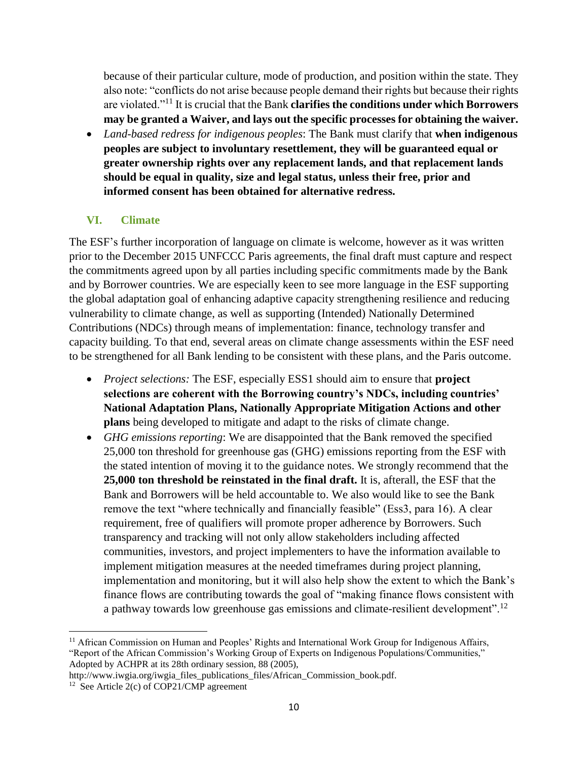because of their particular culture, mode of production, and position within the state. They also note: "conflicts do not arise because people demand their rights but because their rights are violated."<sup>11</sup> It is crucial that the Bank **clarifies the conditions under which Borrowers may be granted a Waiver, and lays out the specific processes for obtaining the waiver.**

 *Land-based redress for indigenous peoples*: The Bank must clarify that **when indigenous peoples are subject to involuntary resettlement, they will be guaranteed equal or greater ownership rights over any replacement lands, and that replacement lands should be equal in quality, size and legal status, unless their free, prior and informed consent has been obtained for alternative redress.** 

### **VI. Climate**

The ESF's further incorporation of language on climate is welcome, however as it was written prior to the December 2015 UNFCCC Paris agreements, the final draft must capture and respect the commitments agreed upon by all parties including specific commitments made by the Bank and by Borrower countries. We are especially keen to see more language in the ESF supporting the global adaptation goal of enhancing adaptive capacity strengthening resilience and reducing vulnerability to climate change, as well as supporting (Intended) Nationally Determined Contributions (NDCs) through means of implementation: finance, technology transfer and capacity building. To that end, several areas on climate change assessments within the ESF need to be strengthened for all Bank lending to be consistent with these plans, and the Paris outcome.

- *Project selections:* The ESF, especially ESS1 should aim to ensure that **project selections are coherent with the Borrowing country's NDCs, including countries' National Adaptation Plans, Nationally Appropriate Mitigation Actions and other plans** being developed to mitigate and adapt to the risks of climate change.
- *GHG emissions reporting*: We are disappointed that the Bank removed the specified 25,000 ton threshold for greenhouse gas (GHG) emissions reporting from the ESF with the stated intention of moving it to the guidance notes. We strongly recommend that the **25,000 ton threshold be reinstated in the final draft.** It is, afterall, the ESF that the Bank and Borrowers will be held accountable to. We also would like to see the Bank remove the text "where technically and financially feasible" (Ess3, para 16). A clear requirement, free of qualifiers will promote proper adherence by Borrowers. Such transparency and tracking will not only allow stakeholders including affected communities, investors, and project implementers to have the information available to implement mitigation measures at the needed timeframes during project planning, implementation and monitoring, but it will also help show the extent to which the Bank's finance flows are contributing towards the goal of "making finance flows consistent with a pathway towards low greenhouse gas emissions and climate-resilient development".<sup>12</sup>

 $\overline{a}$ 

<sup>&</sup>lt;sup>11</sup> African Commission on Human and Peoples' Rights and International Work Group for Indigenous Affairs, "Report of the African Commission's Working Group of Experts on Indigenous Populations/Communities," Adopted by ACHPR at its 28th ordinary session, 88 (2005),

http://www.iwgia.org/iwgia\_files\_publications\_files/African\_Commission\_book.pdf.

<sup>&</sup>lt;sup>12</sup> See Article 2(c) of COP21/CMP agreement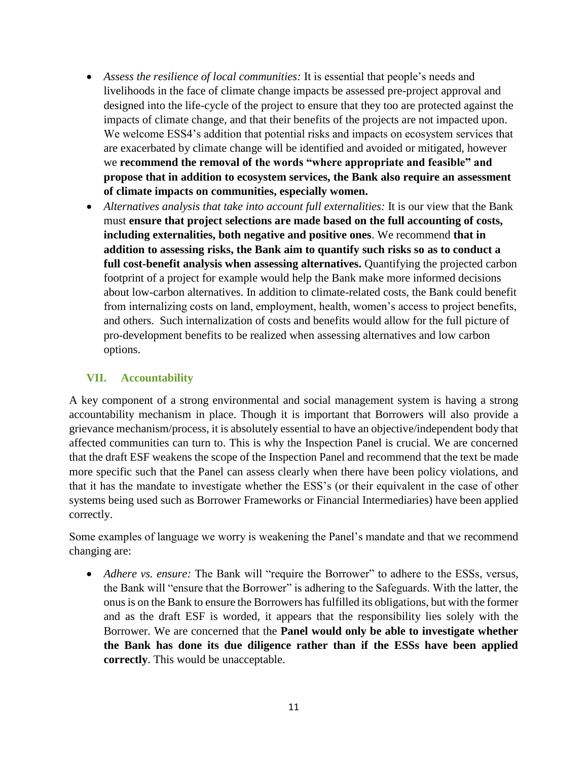- *Assess the resilience of local communities:* It is essential that people's needs and livelihoods in the face of climate change impacts be assessed pre-project approval and designed into the life-cycle of the project to ensure that they too are protected against the impacts of climate change, and that their benefits of the projects are not impacted upon. We welcome ESS4's addition that potential risks and impacts on ecosystem services that are exacerbated by climate change will be identified and avoided or mitigated, however we **recommend the removal of the words "where appropriate and feasible" and propose that in addition to ecosystem services, the Bank also require an assessment of climate impacts on communities, especially women.**
- *Alternatives analysis that take into account full externalities:* It is our view that the Bank must **ensure that project selections are made based on the full accounting of costs, including externalities, both negative and positive ones**. We recommend **that in addition to assessing risks, the Bank aim to quantify such risks so as to conduct a full cost-benefit analysis when assessing alternatives.** Quantifying the projected carbon footprint of a project for example would help the Bank make more informed decisions about low-carbon alternatives. In addition to climate-related costs, the Bank could benefit from internalizing costs on land, employment, health, women's access to project benefits, and others. Such internalization of costs and benefits would allow for the full picture of pro-development benefits to be realized when assessing alternatives and low carbon options.

### **VII. Accountability**

A key component of a strong environmental and social management system is having a strong accountability mechanism in place. Though it is important that Borrowers will also provide a grievance mechanism/process, it is absolutely essential to have an objective/independent body that affected communities can turn to. This is why the Inspection Panel is crucial. We are concerned that the draft ESF weakens the scope of the Inspection Panel and recommend that the text be made more specific such that the Panel can assess clearly when there have been policy violations, and that it has the mandate to investigate whether the ESS's (or their equivalent in the case of other systems being used such as Borrower Frameworks or Financial Intermediaries) have been applied correctly.

Some examples of language we worry is weakening the Panel's mandate and that we recommend changing are:

 *Adhere vs. ensure:* The Bank will "require the Borrower" to adhere to the ESSs, versus, the Bank will "ensure that the Borrower" is adhering to the Safeguards. With the latter, the onus is on the Bank to ensure the Borrowers has fulfilled its obligations, but with the former and as the draft ESF is worded, it appears that the responsibility lies solely with the Borrower. We are concerned that the **Panel would only be able to investigate whether the Bank has done its due diligence rather than if the ESSs have been applied correctly**. This would be unacceptable.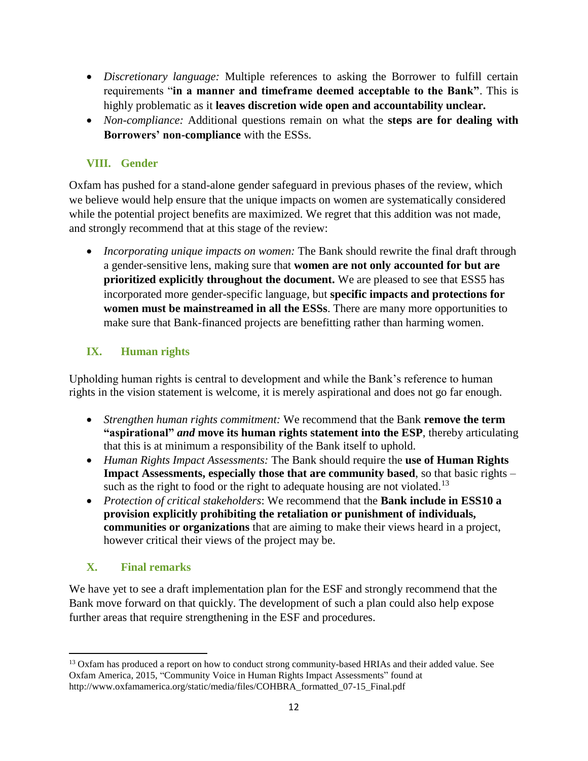- *Discretionary language:* Multiple references to asking the Borrower to fulfill certain requirements "**in a manner and timeframe deemed acceptable to the Bank"**. This is highly problematic as it **leaves discretion wide open and accountability unclear.**
- *Non-compliance:* Additional questions remain on what the **steps are for dealing with Borrowers' non-compliance** with the ESSs.

### **VIII. Gender**

Oxfam has pushed for a stand-alone gender safeguard in previous phases of the review, which we believe would help ensure that the unique impacts on women are systematically considered while the potential project benefits are maximized. We regret that this addition was not made, and strongly recommend that at this stage of the review:

• *Incorporating unique impacts on women:* The Bank should rewrite the final draft through a gender-sensitive lens, making sure that **women are not only accounted for but are prioritized explicitly throughout the document.** We are pleased to see that ESS5 has incorporated more gender-specific language, but **specific impacts and protections for women must be mainstreamed in all the ESSs**. There are many more opportunities to make sure that Bank-financed projects are benefitting rather than harming women.

# **IX. Human rights**

Upholding human rights is central to development and while the Bank's reference to human rights in the vision statement is welcome, it is merely aspirational and does not go far enough.

- *Strengthen human rights commitment:* We recommend that the Bank **remove the term "aspirational"** *and* **move its human rights statement into the ESP**, thereby articulating that this is at minimum a responsibility of the Bank itself to uphold.
- *Human Rights Impact Assessments:* The Bank should require the **use of Human Rights Impact Assessments, especially those that are community based**, so that basic rights – such as the right to food or the right to adequate housing are not violated.<sup>13</sup>
- *Protection of critical stakeholders*: We recommend that the **Bank include in ESS10 a provision explicitly prohibiting the retaliation or punishment of individuals, communities or organizations** that are aiming to make their views heard in a project, however critical their views of the project may be.

# **X. Final remarks**

We have yet to see a draft implementation plan for the ESF and strongly recommend that the Bank move forward on that quickly. The development of such a plan could also help expose further areas that require strengthening in the ESF and procedures.

 $\overline{\phantom{a}}$ <sup>13</sup> Oxfam has produced a report on how to conduct strong community-based HRIAs and their added value. See Oxfam America, 2015, "Community Voice in Human Rights Impact Assessments" found at http://www.oxfamamerica.org/static/media/files/COHBRA\_formatted\_07-15\_Final.pdf